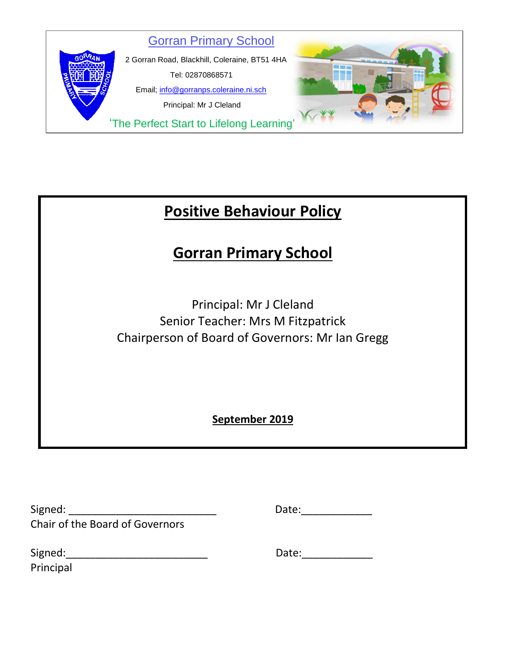

# **Positive Behaviour Policy**

# **Gorran Primary School**

Principal: Mr J Cleland Senior Teacher: Mrs M Fitzpatrick Chairperson of Board of Governors: Mr Ian Gregg

**September 2019**

| Signed:                                |  |
|----------------------------------------|--|
| <b>Chair of the Board of Governors</b> |  |

Signed: \_\_\_\_\_\_\_\_\_\_\_\_\_\_\_\_\_\_\_\_\_\_\_\_\_ Date:\_\_\_\_\_\_\_\_\_\_\_\_

| Signed:   |  |  |  |
|-----------|--|--|--|
| Principal |  |  |  |

 $Date:$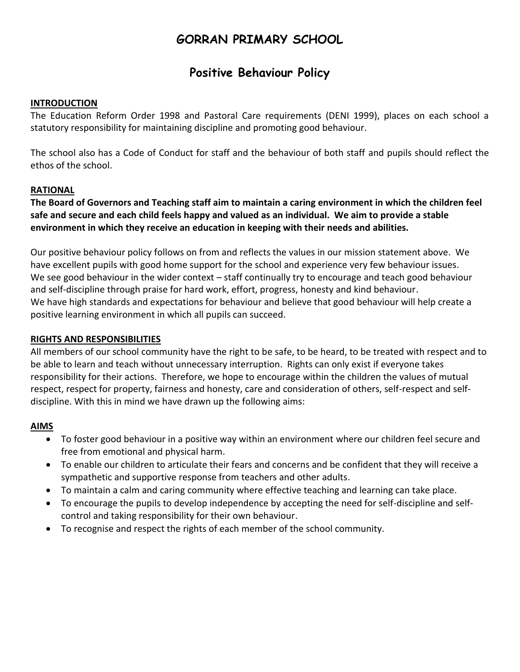# **GORRAN PRIMARY SCHOOL**

# **Positive Behaviour Policy**

#### **INTRODUCTION**

The Education Reform Order 1998 and Pastoral Care requirements (DENI 1999), places on each school a statutory responsibility for maintaining discipline and promoting good behaviour.

The school also has a Code of Conduct for staff and the behaviour of both staff and pupils should reflect the ethos of the school.

#### **RATIONAL**

**The Board of Governors and Teaching staff aim to maintain a caring environment in which the children feel safe and secure and each child feels happy and valued as an individual. We aim to provide a stable environment in which they receive an education in keeping with their needs and abilities.**

Our positive behaviour policy follows on from and reflects the values in our mission statement above. We have excellent pupils with good home support for the school and experience very few behaviour issues. We see good behaviour in the wider context – staff continually try to encourage and teach good behaviour and self-discipline through praise for hard work, effort, progress, honesty and kind behaviour. We have high standards and expectations for behaviour and believe that good behaviour will help create a positive learning environment in which all pupils can succeed.

### **RIGHTS AND RESPONSIBILITIES**

All members of our school community have the right to be safe, to be heard, to be treated with respect and to be able to learn and teach without unnecessary interruption. Rights can only exist if everyone takes responsibility for their actions. Therefore, we hope to encourage within the children the values of mutual respect, respect for property, fairness and honesty, care and consideration of others, self-respect and selfdiscipline. With this in mind we have drawn up the following aims:

## **AIMS**

- To foster good behaviour in a positive way within an environment where our children feel secure and free from emotional and physical harm.
- To enable our children to articulate their fears and concerns and be confident that they will receive a sympathetic and supportive response from teachers and other adults.
- To maintain a calm and caring community where effective teaching and learning can take place.
- To encourage the pupils to develop independence by accepting the need for self-discipline and selfcontrol and taking responsibility for their own behaviour.
- To recognise and respect the rights of each member of the school community.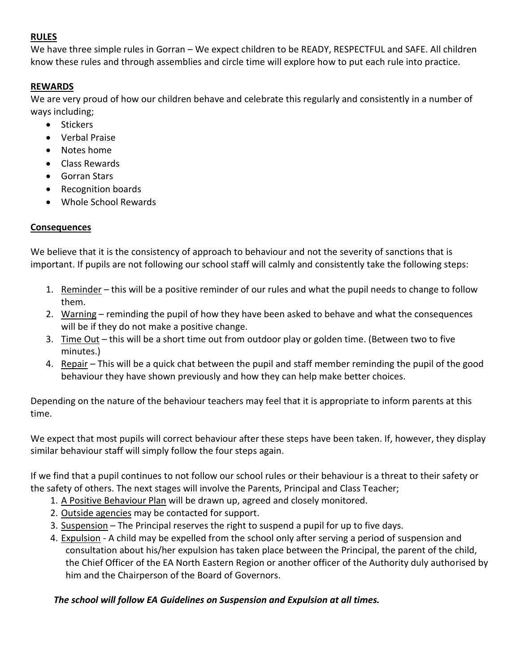# **RULES**

We have three simple rules in Gorran – We expect children to be READY, RESPECTFUL and SAFE. All children know these rules and through assemblies and circle time will explore how to put each rule into practice.

# **REWARDS**

We are very proud of how our children behave and celebrate this regularly and consistently in a number of ways including;

- Stickers
- Verbal Praise
- Notes home
- Class Rewards
- Gorran Stars
- Recognition boards
- Whole School Rewards

## **Consequences**

We believe that it is the consistency of approach to behaviour and not the severity of sanctions that is important. If pupils are not following our school staff will calmly and consistently take the following steps:

- 1. Reminder this will be a positive reminder of our rules and what the pupil needs to change to follow them.
- 2. Warning reminding the pupil of how they have been asked to behave and what the consequences will be if they do not make a positive change.
- 3. Time Out this will be a short time out from outdoor play or golden time. (Between two to five minutes.)
- 4. Repair This will be a quick chat between the pupil and staff member reminding the pupil of the good behaviour they have shown previously and how they can help make better choices.

Depending on the nature of the behaviour teachers may feel that it is appropriate to inform parents at this time.

We expect that most pupils will correct behaviour after these steps have been taken. If, however, they display similar behaviour staff will simply follow the four steps again.

If we find that a pupil continues to not follow our school rules or their behaviour is a threat to their safety or the safety of others. The next stages will involve the Parents, Principal and Class Teacher;

- 1. A Positive Behaviour Plan will be drawn up, agreed and closely monitored.
- 2. Outside agencies may be contacted for support.
- 3. Suspension The Principal reserves the right to suspend a pupil for up to five days.
- 4. Expulsion A child may be expelled from the school only after serving a period of suspension and consultation about his/her expulsion has taken place between the Principal, the parent of the child, the Chief Officer of the EA North Eastern Region or another officer of the Authority duly authorised by him and the Chairperson of the Board of Governors.

## *The school will follow EA Guidelines on Suspension and Expulsion at all times.*